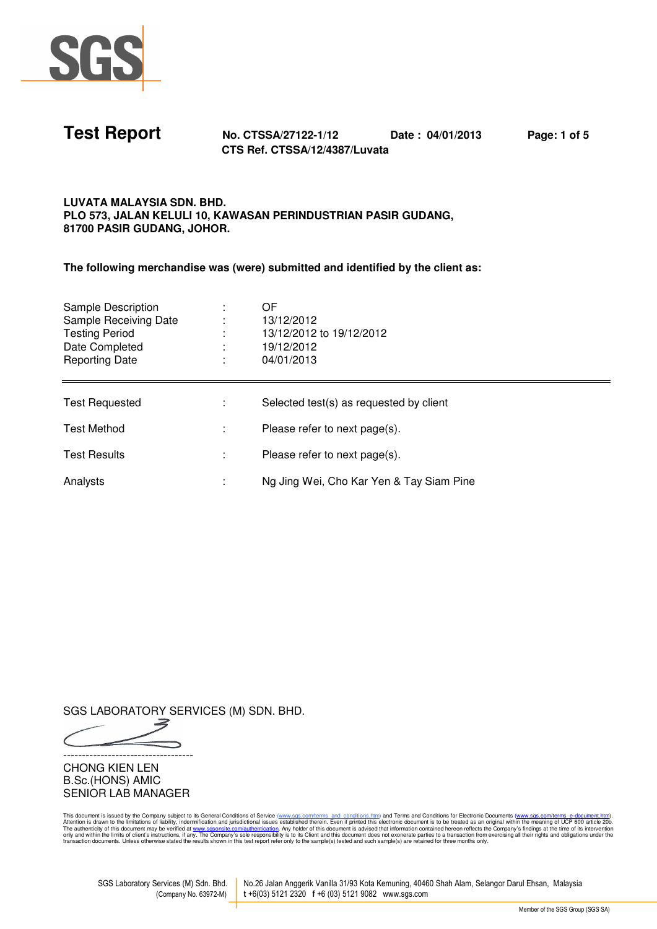

**Test Report No. CTSSA/27122-1/12 Date : 04/01/2013 Page: 1 of 5 CTS Ref. CTSSA/12/4387/Luvata** 

## **LUVATA MALAYSIA SDN. BHD. PLO 573, JALAN KELULI 10, KAWASAN PERINDUSTRIAN PASIR GUDANG, 81700 PASIR GUDANG, JOHOR.**

**The following merchandise was (were) submitted and identified by the client as:** 

| Sample Description<br>Sample Receiving Date<br>Testing Period<br>Date Completed<br><b>Reporting Date</b> | OF<br>13/12/2012<br>13/12/2012 to 19/12/2012<br>19/12/2012<br>04/01/2013 |
|----------------------------------------------------------------------------------------------------------|--------------------------------------------------------------------------|
| <b>Test Requested</b>                                                                                    | Selected test(s) as requested by client                                  |
| Test Method                                                                                              | Please refer to next page(s).                                            |
| <b>Test Results</b>                                                                                      | Please refer to next page(s).                                            |
| Analysts                                                                                                 | Ng Jing Wei, Cho Kar Yen & Tay Siam Pine                                 |

SGS LABORATORY SERVICES (M) SDN. BHD.

-----------------------------------

CHONG KIEN LEN B.Sc.(HONS) AMIC SENIOR LAB MANAGER

This document is issued by the Company subject to its General Conditions of Service (<u>www.sess.com<sup>pl</sup>erns and conditions filesting and Conditions (including the Company). Attention is drawn to the term is the company's fi</u>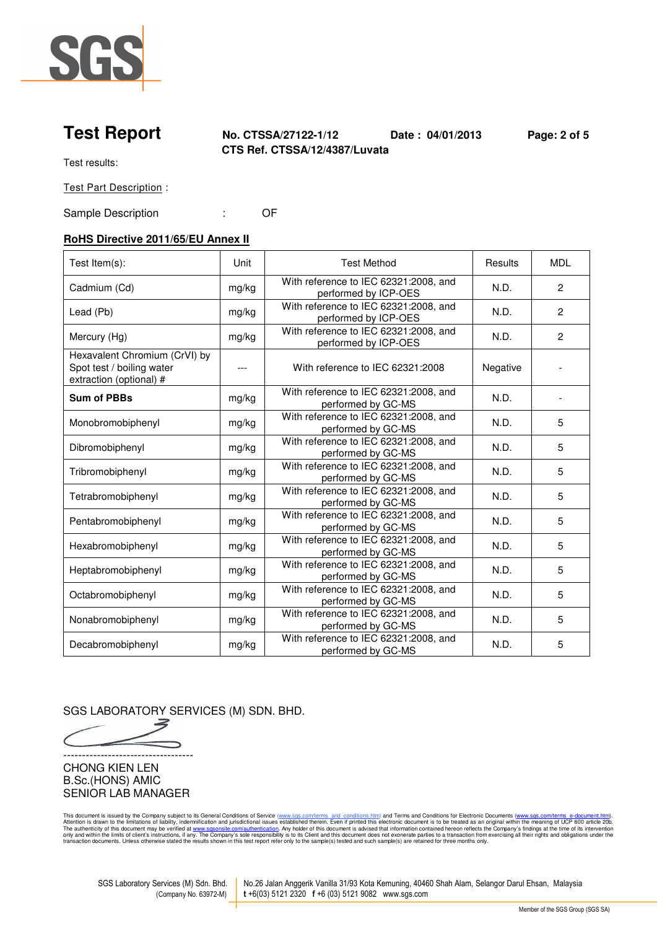

**Test Report No. CTSSA/27122-1/12 Date : 04/01/2013 Page: 2 of 5 CTS Ref. CTSSA/12/4387/Luvata** 

Test results:

Test Part Description :

Sample Description : Company : Company of the Company of the Company of the Company of the Company of the Company of the Company of the Company of the Company of the Company of the Company of the Company of the Company of

# **RoHS Directive 2011/65/EU Annex II**

| Test Item(s):                                                                         | Unit  | <b>Test Method</b>                                            | Results  | <b>MDL</b>     |
|---------------------------------------------------------------------------------------|-------|---------------------------------------------------------------|----------|----------------|
| Cadmium (Cd)                                                                          | mg/kg | With reference to IEC 62321:2008, and<br>performed by ICP-OES | N.D.     | $\mathbf{2}$   |
| Lead (Pb)                                                                             | mg/kg | With reference to IEC 62321:2008, and<br>performed by ICP-OES | N.D.     | $\overline{c}$ |
| Mercury (Hg)                                                                          | mg/kg | With reference to IEC 62321:2008, and<br>performed by ICP-OES | N.D.     | $\overline{c}$ |
| Hexavalent Chromium (CrVI) by<br>Spot test / boiling water<br>extraction (optional) # | $---$ | With reference to IEC 62321:2008                              | Negative |                |
| <b>Sum of PBBs</b>                                                                    | mg/kg | With reference to IEC 62321:2008, and<br>performed by GC-MS   | N.D.     |                |
| Monobromobiphenyl                                                                     | mg/kg | With reference to IEC 62321:2008, and<br>performed by GC-MS   | N.D.     | 5              |
| Dibromobiphenyl                                                                       | mg/kg | With reference to IEC 62321:2008, and<br>performed by GC-MS   | N.D.     | 5              |
| Tribromobiphenyl                                                                      | mg/kg | With reference to IEC 62321:2008, and<br>performed by GC-MS   | N.D.     | 5              |
| Tetrabromobiphenyl                                                                    | mg/kg | With reference to IEC 62321:2008, and<br>performed by GC-MS   | N.D.     | 5              |
| Pentabromobiphenyl                                                                    | mg/kg | With reference to IEC 62321:2008, and<br>performed by GC-MS   | N.D.     | 5              |
| Hexabromobiphenyl                                                                     | mg/kg | With reference to IEC 62321:2008, and<br>performed by GC-MS   | N.D.     | 5              |
| Heptabromobiphenyl                                                                    | mg/kg | With reference to IEC 62321:2008, and<br>performed by GC-MS   | N.D.     | 5              |
| Octabromobiphenyl                                                                     | mg/kg | With reference to IEC 62321:2008, and<br>performed by GC-MS   | N.D.     | 5              |
| Nonabromobiphenyl                                                                     | mg/kg | With reference to IEC 62321:2008, and<br>performed by GC-MS   | N.D.     | 5              |
| Decabromobiphenyl                                                                     | mg/kg | With reference to IEC 62321:2008, and<br>performed by GC-MS   | N.D.     | 5              |

SGS LABORATORY SERVICES (M) SDN. BHD.

-----------------------------------

CHONG KIEN LEN B.Sc.(HONS) AMIC SENIOR LAB MANAGER

This document is issued by the Company subject to its General Conditions of Service (<u>www.sess.com<sup>pl</sup>erns and conditions filesting and Conditions (including the Company). Attention is drawn to the term is the company's fi</u>

SGS Laboratory Services (M) Sdn. Bhd. No.26 Jalan Anggerik Vanilla 31/93 Kota Kemuning, 40460 Shah Alam, Selangor Darul Ehsan, Malaysia (Company No. 63972-M) **t** +6(03) 5121 2320 **f** +6 (03) 5121 9082 www.sgs.com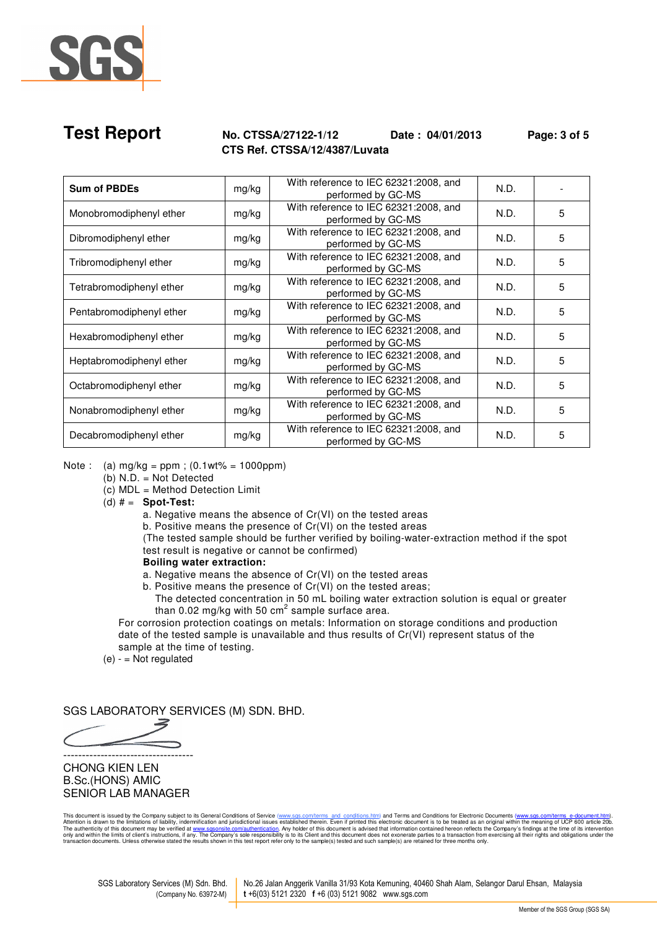

## **Test Report No. CTSSA/27122-1/12 Date : 04/01/2013 Page: 3 of 5 CTS Ref. CTSSA/12/4387/Luvata**

| <b>Sum of PBDEs</b>      | mg/kg | With reference to IEC 62321:2008, and<br>performed by GC-MS | N.D. |   |
|--------------------------|-------|-------------------------------------------------------------|------|---|
| Monobromodiphenyl ether  | mg/kg | With reference to IEC 62321:2008, and<br>performed by GC-MS | N.D. | 5 |
| Dibromodiphenyl ether    | mg/kg | With reference to IEC 62321:2008, and<br>performed by GC-MS | N.D. | 5 |
| Tribromodiphenyl ether   | mg/kg | With reference to IEC 62321:2008, and<br>performed by GC-MS | N.D. | 5 |
| Tetrabromodiphenyl ether | mg/kg | With reference to IEC 62321:2008, and<br>performed by GC-MS | N.D. | 5 |
| Pentabromodiphenyl ether | mg/kg | With reference to IEC 62321:2008, and<br>performed by GC-MS | N.D. | 5 |
| Hexabromodiphenyl ether  | mg/kg | With reference to IEC 62321:2008, and<br>performed by GC-MS | N.D. | 5 |
| Heptabromodiphenyl ether | mg/kg | With reference to IEC 62321:2008, and<br>performed by GC-MS | N.D. | 5 |
| Octabromodiphenyl ether  | mg/kg | With reference to IEC 62321:2008, and<br>performed by GC-MS | N.D. | 5 |
| Nonabromodiphenyl ether  | mg/kg | With reference to IEC 62321:2008, and<br>performed by GC-MS | N.D. | 5 |
| Decabromodiphenyl ether  | mg/kg | With reference to IEC 62321:2008, and<br>performed by GC-MS | N.D. | 5 |

Note : (a)  $mg/kg = ppm$  ; (0.1wt% = 1000ppm)

- (b) N.D. = Not Detected
- $(c)$  MDL = Method Detection Limit
- (d) # = **Spot-Test:**

a. Negative means the absence of Cr(VI) on the tested areas

b. Positive means the presence of Cr(VI) on the tested areas

 (The tested sample should be further verified by boiling-water-extraction method if the spot test result is negative or cannot be confirmed)

## **Boiling water extraction:**

a. Negative means the absence of Cr(VI) on the tested areas

b. Positive means the presence of Cr(VI) on the tested areas;

 The detected concentration in 50 mL boiling water extraction solution is equal or greater than 0.02 mg/kg with 50  $\text{cm}^2$  sample surface area.

 For corrosion protection coatings on metals: Information on storage conditions and production date of the tested sample is unavailable and thus results of Cr(VI) represent status of the sample at the time of testing.

 $(e) -$  = Not regulated

SGS LABORATORY SERVICES (M) SDN. BHD.

-----------------------------------

## CHONG KIEN LEN B.Sc.(HONS) AMIC SENIOR LAB MANAGER

This document is issued by the Company subject to its General Conditions of Service (<u>www.sess.com<sup>pl</sup>erns and conditions filesting and Conditions (including the Company). Attention is drawn to the term is the company's fi</u>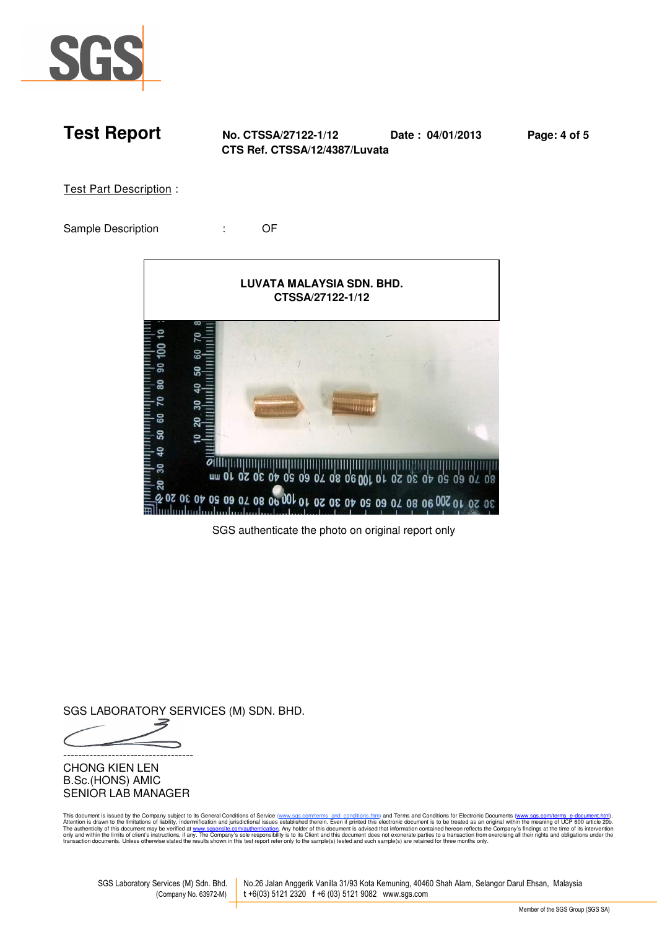

**Test Report No. CTSSA/27122-1/12 Date : 04/01/2013 Page: 4 of 5 CTS Ref. CTSSA/12/4387/Luvata** 

Test Part Description :

Sample Description : Company : Company of the Company of the Company of the Company of the Company of the Compa



SGS authenticate the photo on original report only

SGS LABORATORY SERVICES (M) SDN. BHD.

-----------------------------------

CHONG KIEN LEN B.Sc.(HONS) AMIC SENIOR LAB MANAGER

This document is issued by the Company subject to its General Conditions of Service (<u>www.sess.com<sup>pl</sup>erns and conditions filesting and Conditions (including the Company). Attention is drawn to the term is the company's fi</u>

SGS Laboratory Services (M) Sdn. Bhd. No.26 Jalan Anggerik Vanilla 31/93 Kota Kemuning, 40460 Shah Alam, Selangor Darul Ehsan, Malaysia (Company No. 63972-M) **t** +6(03) 5121 2320 **f** +6 (03) 5121 9082 www.sgs.com